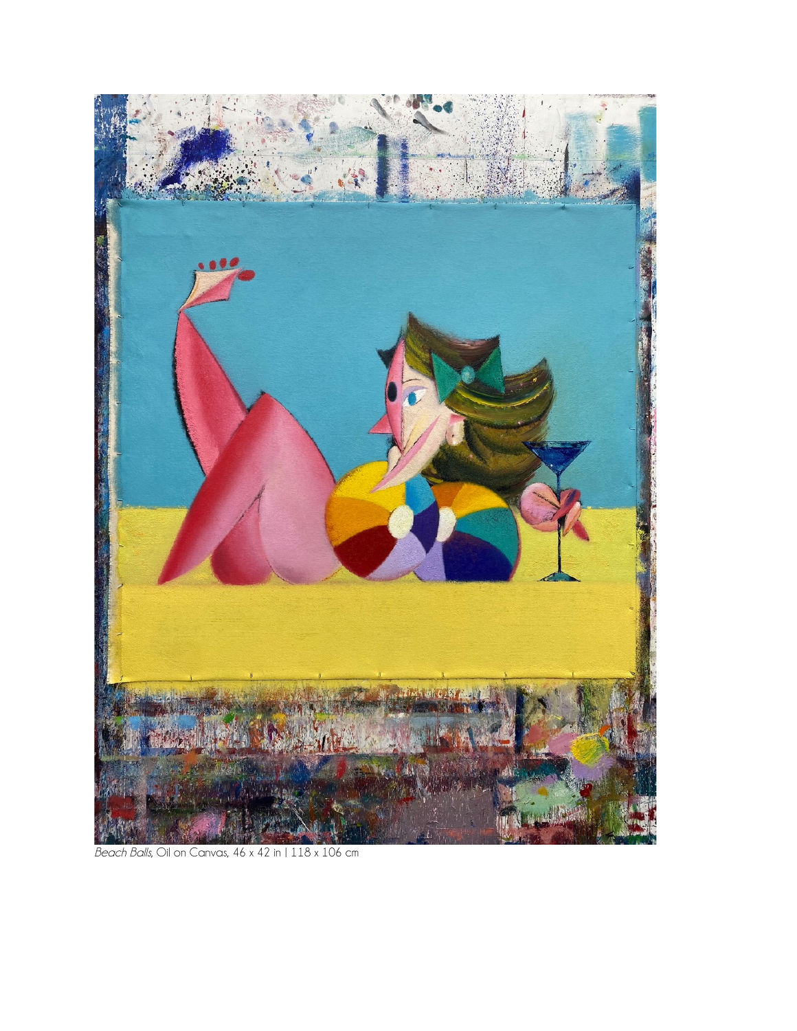

Beach Balls, Oil on Canvas, 46 x 42 in | 118 x 106 cm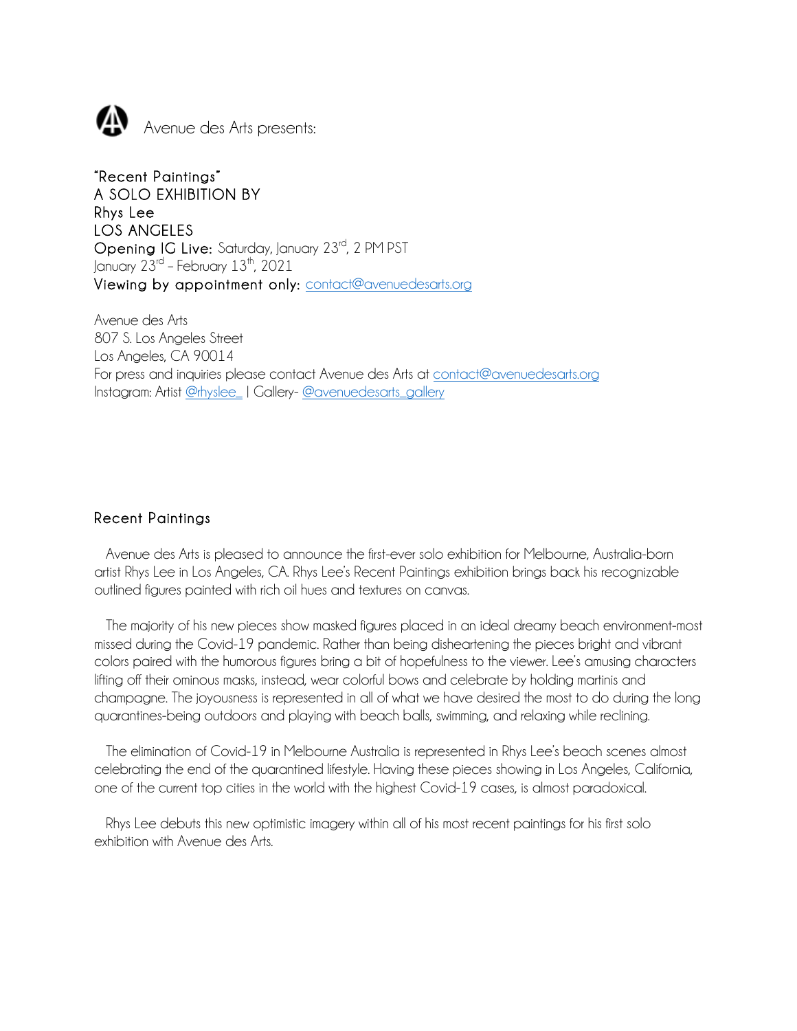

"Recent Paintings" A SOLO EXHIBITION BY Rhys Lee LOS ANGELES Opening IG Live: Saturday, January 23<sup>rd</sup>, 2 PM PST January  $23^{\text{rd}}$  – February  $13^{\text{th}}$ , 2021 Viewing by appointment only: contact@avenuedesarts.org

Avenue des Arts 807 S. Los Angeles Street Los Angeles, CA 90014 For press and inquiries please contact Avenue des Arts at contact@avenuedesarts.org Instagram: Artist @rhyslee\_ | Gallery- @avenuedesarts\_gallery

## Recent Paintings

 Avenue des Arts is pleased to announce the first-ever solo exhibition for Melbourne, Australia-born artist Rhys Lee in Los Angeles, CA. Rhys Lee's Recent Paintings exhibition brings back his recognizable outlined figures painted with rich oil hues and textures on canvas.

 The majority of his new pieces show masked figures placed in an ideal dreamy beach environment-most missed during the Covid-19 pandemic. Rather than being disheartening the pieces bright and vibrant colors paired with the humorous figures bring a bit of hopefulness to the viewer. Lee's amusing characters lifting off their ominous masks, instead, wear colorful bows and celebrate by holding martinis and champagne. The joyousness is represented in all of what we have desired the most to do during the long quarantines-being outdoors and playing with beach balls, swimming, and relaxing while reclining.

 The elimination of Covid-19 in Melbourne Australia is represented in Rhys Lee's beach scenes almost celebrating the end of the quarantined lifestyle. Having these pieces showing in Los Angeles, California, one of the current top cities in the world with the highest Covid-19 cases, is almost paradoxical.

 Rhys Lee debuts this new optimistic imagery within all of his most recent paintings for his first solo exhibition with Avenue des Arts.